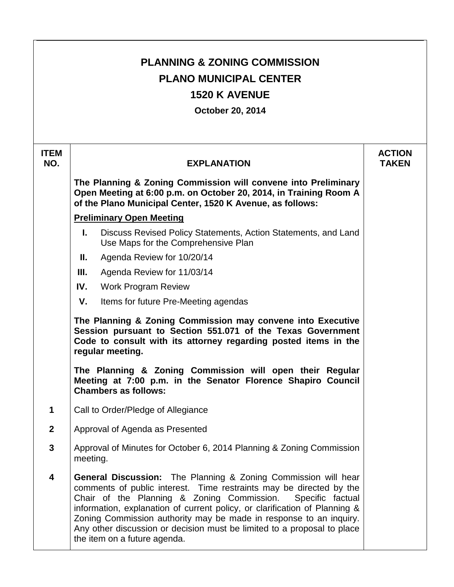| <b>PLANNING &amp; ZONING COMMISSION</b><br><b>PLANO MUNICIPAL CENTER</b><br><b>1520 K AVENUE</b><br><b>October 20, 2014</b> |                                                                                                                                                                                                                                                                                                                                                                                                                                                                               |                               |  |
|-----------------------------------------------------------------------------------------------------------------------------|-------------------------------------------------------------------------------------------------------------------------------------------------------------------------------------------------------------------------------------------------------------------------------------------------------------------------------------------------------------------------------------------------------------------------------------------------------------------------------|-------------------------------|--|
| <b>ITEM</b><br>NO.                                                                                                          | <b>EXPLANATION</b>                                                                                                                                                                                                                                                                                                                                                                                                                                                            | <b>ACTION</b><br><b>TAKEN</b> |  |
|                                                                                                                             | The Planning & Zoning Commission will convene into Preliminary<br>Open Meeting at 6:00 p.m. on October 20, 2014, in Training Room A<br>of the Plano Municipal Center, 1520 K Avenue, as follows:                                                                                                                                                                                                                                                                              |                               |  |
|                                                                                                                             | <b>Preliminary Open Meeting</b>                                                                                                                                                                                                                                                                                                                                                                                                                                               |                               |  |
|                                                                                                                             | L.<br>Discuss Revised Policy Statements, Action Statements, and Land<br>Use Maps for the Comprehensive Plan                                                                                                                                                                                                                                                                                                                                                                   |                               |  |
|                                                                                                                             | Agenda Review for 10/20/14<br>Ш.                                                                                                                                                                                                                                                                                                                                                                                                                                              |                               |  |
|                                                                                                                             | III.<br>Agenda Review for 11/03/14                                                                                                                                                                                                                                                                                                                                                                                                                                            |                               |  |
|                                                                                                                             | IV.<br><b>Work Program Review</b>                                                                                                                                                                                                                                                                                                                                                                                                                                             |                               |  |
|                                                                                                                             | V.<br>Items for future Pre-Meeting agendas                                                                                                                                                                                                                                                                                                                                                                                                                                    |                               |  |
|                                                                                                                             | The Planning & Zoning Commission may convene into Executive<br>Session pursuant to Section 551.071 of the Texas Government<br>Code to consult with its attorney regarding posted items in the<br>regular meeting.                                                                                                                                                                                                                                                             |                               |  |
|                                                                                                                             | The Planning & Zoning Commission will open their Regular<br>Meeting at 7:00 p.m. in the Senator Florence Shapiro Council<br><b>Chambers as follows:</b>                                                                                                                                                                                                                                                                                                                       |                               |  |
| 1                                                                                                                           | Call to Order/Pledge of Allegiance                                                                                                                                                                                                                                                                                                                                                                                                                                            |                               |  |
| $\overline{2}$                                                                                                              | Approval of Agenda as Presented                                                                                                                                                                                                                                                                                                                                                                                                                                               |                               |  |
| $\mathbf{3}$                                                                                                                | Approval of Minutes for October 6, 2014 Planning & Zoning Commission<br>meeting.                                                                                                                                                                                                                                                                                                                                                                                              |                               |  |
| $\overline{\mathbf{4}}$                                                                                                     | <b>General Discussion:</b> The Planning & Zoning Commission will hear<br>comments of public interest. Time restraints may be directed by the<br>Chair of the Planning & Zoning Commission.<br>Specific factual<br>information, explanation of current policy, or clarification of Planning &<br>Zoning Commission authority may be made in response to an inquiry.<br>Any other discussion or decision must be limited to a proposal to place<br>the item on a future agenda. |                               |  |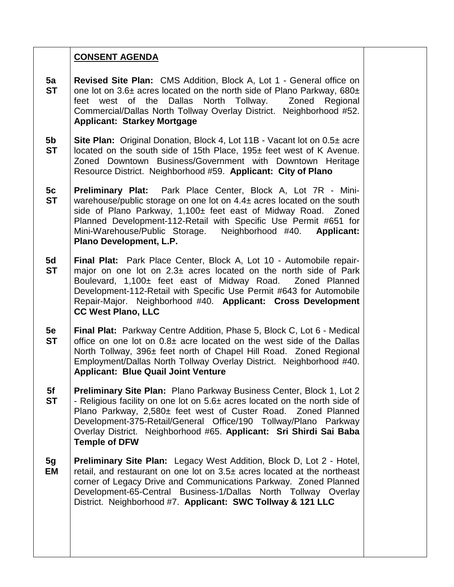## **CONSENT AGENDA**

- **5a ST Revised Site Plan:** CMS Addition, Block A, Lot 1 - General office on one lot on  $3.6\pm$  acres located on the north side of Plano Parkway, 680 $\pm$ feet west of the Dallas North Tollway. Zoned Regional Commercial/Dallas North Tollway Overlay District. Neighborhood #52. **Applicant: Starkey Mortgage**
- **5b ST Site Plan:** Original Donation, Block 4, Lot 11B - Vacant lot on 0.5± acre located on the south side of 15th Place, 195± feet west of K Avenue. Zoned Downtown Business/Government with Downtown Heritage Resource District. Neighborhood #59. **Applicant: City of Plano**
- **5c ST Preliminary Plat:** Park Place Center, Block A, Lot 7R - Miniwarehouse/public storage on one lot on 4.4± acres located on the south side of Plano Parkway, 1,100± feet east of Midway Road. Zoned Planned Development-112-Retail with Specific Use Permit #651 for Mini-Warehouse/Public Storage. Neighborhood #40. **Applicant: Plano Development, L.P.**
- **5d ST Final Plat:** Park Place Center, Block A, Lot 10 - Automobile repairmajor on one lot on  $2.3\pm$  acres located on the north side of Park Boulevard, 1,100± feet east of Midway Road. Zoned Planned Development-112-Retail with Specific Use Permit #643 for Automobile Repair-Major. Neighborhood #40. **Applicant: Cross Development CC West Plano, LLC**
- **5e ST Final Plat:** Parkway Centre Addition, Phase 5, Block C, Lot 6 - Medical office on one lot on  $0.8\pm$  acre located on the west side of the Dallas North Tollway, 396± feet north of Chapel Hill Road. Zoned Regional Employment/Dallas North Tollway Overlay District. Neighborhood #40. **Applicant: Blue Quail Joint Venture**
- **5f ST Preliminary Site Plan:** Plano Parkway Business Center, Block 1, Lot 2 - Religious facility on one lot on 5.6± acres located on the north side of Plano Parkway, 2,580± feet west of Custer Road. Zoned Planned Development-375-Retail/General Office/190 Tollway/Plano Parkway Overlay District. Neighborhood #65. **Applicant: Sri Shirdi Sai Baba Temple of DFW**
- **5g EM Preliminary Site Plan:** Legacy West Addition, Block D, Lot 2 - Hotel, retail, and restaurant on one lot on 3.5± acres located at the northeast corner of Legacy Drive and Communications Parkway. Zoned Planned Development-65-Central Business-1/Dallas North Tollway Overlay District. Neighborhood #7. **Applicant: SWC Tollway & 121 LLC**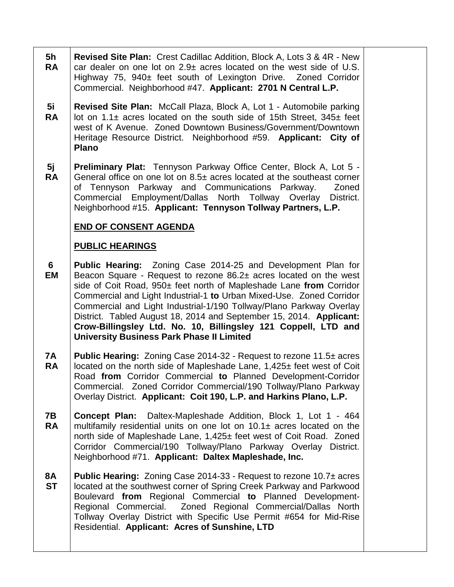- **5h RA Revised Site Plan:** Crest Cadillac Addition, Block A, Lots 3 & 4R - New car dealer on one lot on  $2.9\pm$  acres located on the west side of U.S. Highway 75, 940± feet south of Lexington Drive. Zoned Corridor Commercial. Neighborhood #47. **Applicant: 2701 N Central L.P.**
- **5i RA Revised Site Plan:** McCall Plaza, Block A, Lot 1 - Automobile parking lot on  $1.1\pm$  acres located on the south side of 15th Street,  $345\pm$  feet west of K Avenue. Zoned Downtown Business/Government/Downtown Heritage Resource District. Neighborhood #59. **Applicant: City of Plano**
- **5j RA Preliminary Plat:** Tennyson Parkway Office Center, Block A, Lot 5 - General office on one lot on  $8.5\pm$  acres located at the southeast corner of Tennyson Parkway and Communications Parkway. Zoned Commercial Employment/Dallas North Tollway Overlay District. Neighborhood #15. **Applicant: Tennyson Tollway Partners, L.P.**

## **END OF CONSENT AGENDA**

## **PUBLIC HEARINGS**

- **6 EM Public Hearing:** Zoning Case 2014-25 and Development Plan for Beacon Square - Request to rezone 86.2± acres located on the west side of Coit Road, 950± feet north of Mapleshade Lane **from** Corridor Commercial and Light Industrial-1 **to** Urban Mixed-Use. Zoned Corridor Commercial and Light Industrial-1/190 Tollway/Plano Parkway Overlay District. Tabled August 18, 2014 and September 15, 2014. **Applicant: Crow-Billingsley Ltd. No. 10, Billingsley 121 Coppell, LTD and University Business Park Phase II Limited**
- **7A RA Public Hearing:** Zoning Case 2014-32 - Request to rezone 11.5± acres located on the north side of Mapleshade Lane, 1,425± feet west of Coit Road **from** Corridor Commercial **to** Planned Development-Corridor Commercial. Zoned Corridor Commercial/190 Tollway/Plano Parkway Overlay District. **Applicant: Coit 190, L.P. and Harkins Plano, L.P.**
- **7B RA Concept Plan:** Daltex-Mapleshade Addition, Block 1, Lot 1 - 464 multifamily residential units on one lot on  $10.1<sub>±</sub>$  acres located on the north side of Mapleshade Lane, 1,425± feet west of Coit Road. Zoned Corridor Commercial/190 Tollway/Plano Parkway Overlay District. Neighborhood #71. **Applicant: Daltex Mapleshade, Inc.**
- **8A ST Public Hearing:** Zoning Case 2014-33 - Request to rezone 10.7± acres located at the southwest corner of Spring Creek Parkway and Parkwood Boulevard **from** Regional Commercial **to** Planned Development-Regional Commercial. Zoned Regional Commercial/Dallas North Tollway Overlay District with Specific Use Permit #654 for Mid-Rise Residential. **Applicant: Acres of Sunshine, LTD**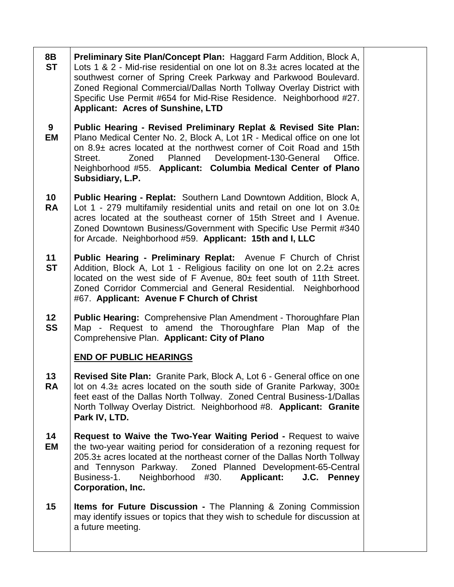**8B ST Preliminary Site Plan/Concept Plan:** Haggard Farm Addition, Block A, Lots 1 & 2 - Mid-rise residential on one lot on  $8.3\pm$  acres located at the southwest corner of Spring Creek Parkway and Parkwood Boulevard. Zoned Regional Commercial/Dallas North Tollway Overlay District with Specific Use Permit #654 for Mid-Rise Residence. Neighborhood #27. **Applicant: Acres of Sunshine, LTD**

- **9 EM Public Hearing - Revised Preliminary Replat & Revised Site Plan:** Plano Medical Center No. 2, Block A, Lot 1R - Medical office on one lot on 8.9± acres located at the northwest corner of Coit Road and 15th Street. Zoned Planned Development-130-General Office. Neighborhood #55. **Applicant: Columbia Medical Center of Plano Subsidiary, L.P.**
- **10 RA Public Hearing - Replat:** Southern Land Downtown Addition, Block A, Lot 1 - 279 multifamily residential units and retail on one lot on 3.0± acres located at the southeast corner of 15th Street and I Avenue. Zoned Downtown Business/Government with Specific Use Permit #340 for Arcade. Neighborhood #59. **Applicant: 15th and I, LLC**
- **11 ST Public Hearing - Preliminary Replat:** Avenue F Church of Christ Addition, Block A, Lot 1 - Religious facility on one lot on  $2.2\pm$  acres located on the west side of F Avenue, 80± feet south of 11th Street. Zoned Corridor Commercial and General Residential. Neighborhood #67. **Applicant: Avenue F Church of Christ**
- **12 SS Public Hearing:** Comprehensive Plan Amendment - Thoroughfare Plan Map - Request to amend the Thoroughfare Plan Map of the Comprehensive Plan. **Applicant: City of Plano**

# **END OF PUBLIC HEARINGS**

- **13 RA Revised Site Plan:** Granite Park, Block A, Lot 6 - General office on one lot on  $4.3\pm$  acres located on the south side of Granite Parkway, 300 $\pm$ feet east of the Dallas North Tollway. Zoned Central Business-1/Dallas North Tollway Overlay District. Neighborhood #8. **Applicant: Granite Park IV, LTD.**
- **14 EM Request to Waive the Two-Year Waiting Period -** Request to waive the two-year waiting period for consideration of a rezoning request for 205.3± acres located at the northeast corner of the Dallas North Tollway and Tennyson Parkway. Zoned Planned Development-65-Central Business-1. Neighborhood #30. **Applicant: J.C. Penney Corporation, Inc.**
- **15 Items for Future Discussion -** The Planning & Zoning Commission may identify issues or topics that they wish to schedule for discussion at a future meeting.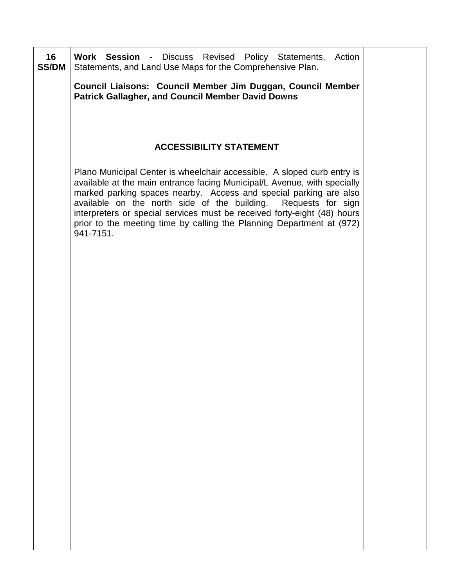| 16<br><b>SS/DM</b> | Work Session - Discuss Revised Policy Statements, Action<br>Statements, and Land Use Maps for the Comprehensive Plan.                                                                                                                                                                                                                                                                                                                                        |  |
|--------------------|--------------------------------------------------------------------------------------------------------------------------------------------------------------------------------------------------------------------------------------------------------------------------------------------------------------------------------------------------------------------------------------------------------------------------------------------------------------|--|
|                    | Council Liaisons: Council Member Jim Duggan, Council Member<br><b>Patrick Gallagher, and Council Member David Downs</b>                                                                                                                                                                                                                                                                                                                                      |  |
|                    |                                                                                                                                                                                                                                                                                                                                                                                                                                                              |  |
|                    | <b>ACCESSIBILITY STATEMENT</b>                                                                                                                                                                                                                                                                                                                                                                                                                               |  |
|                    | Plano Municipal Center is wheelchair accessible. A sloped curb entry is<br>available at the main entrance facing Municipal/L Avenue, with specially<br>marked parking spaces nearby. Access and special parking are also<br>available on the north side of the building. Requests for sign<br>interpreters or special services must be received forty-eight (48) hours<br>prior to the meeting time by calling the Planning Department at (972)<br>941-7151. |  |
|                    |                                                                                                                                                                                                                                                                                                                                                                                                                                                              |  |
|                    |                                                                                                                                                                                                                                                                                                                                                                                                                                                              |  |
|                    |                                                                                                                                                                                                                                                                                                                                                                                                                                                              |  |
|                    |                                                                                                                                                                                                                                                                                                                                                                                                                                                              |  |
|                    |                                                                                                                                                                                                                                                                                                                                                                                                                                                              |  |
|                    |                                                                                                                                                                                                                                                                                                                                                                                                                                                              |  |
|                    |                                                                                                                                                                                                                                                                                                                                                                                                                                                              |  |
|                    |                                                                                                                                                                                                                                                                                                                                                                                                                                                              |  |
|                    |                                                                                                                                                                                                                                                                                                                                                                                                                                                              |  |
|                    |                                                                                                                                                                                                                                                                                                                                                                                                                                                              |  |

 $\blacksquare$